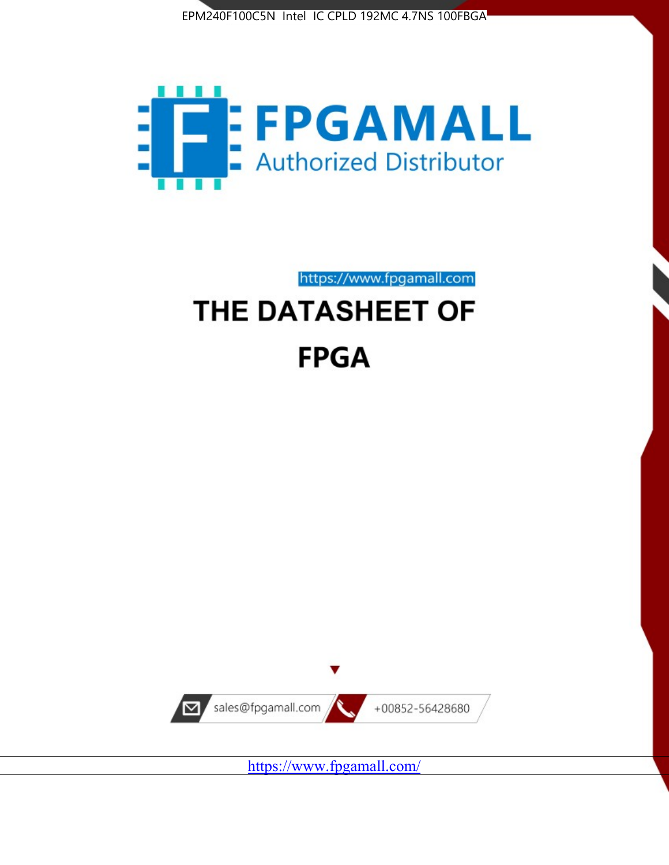



# https://www.fpgamall.com THE DATASHEET OF **FPGA**



https://www.fpgamall.com/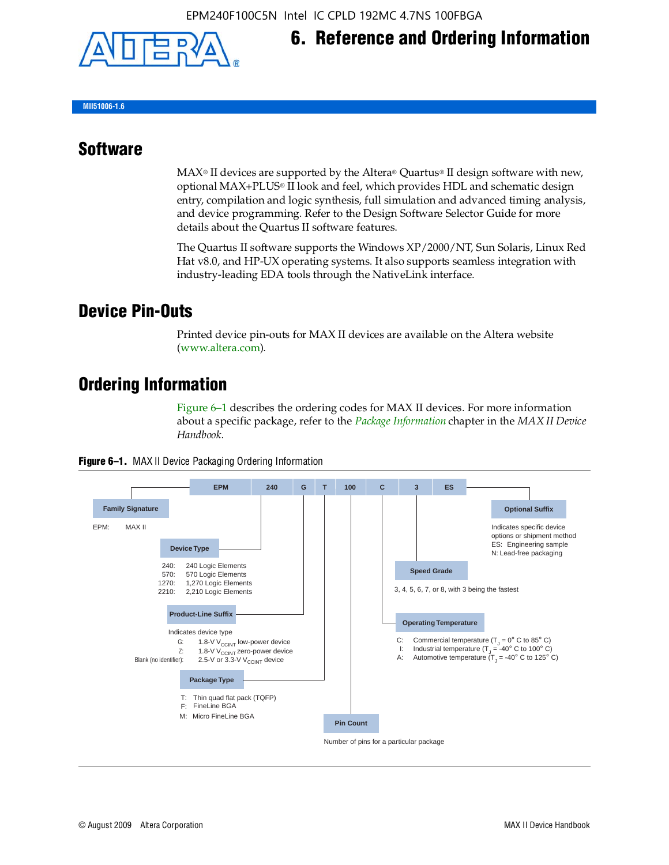

## **6. Reference and Ordering Information**

**MII51006-1.6**

#### **Software**

 $MAX<sup>®</sup>$  II devices are supported by the Altera® Quartus<sup>®</sup> II design software with new, optional MAX+PLUS® II look and feel, which provides HDL and schematic design entry, compilation and logic synthesis, full simulation and advanced timing analysis, and device programming. Refer to the Design Software Selector Guide for more details about the Quartus II software features.

The Quartus II software supports the Windows XP/2000/NT, Sun Solaris, Linux Red Hat v8.0, and HP-UX operating systems. It also supports seamless integration with industry-leading EDA tools through the NativeLink interface.

#### **Device Pin-Outs**

Printed device pin-outs for MAX II devices are available on the Altera website ([www.altera.com](http://www.altera.com/)).

#### **Ordering Information**

Figure 6–1 describes the ordering codes for MAX II devices. For more information about a specific package, refer to the *[Package Information](http://www.altera.com/literature/hb/max2/max2_mii51007.pdf)* chapter in the *MAX II Device Handbook*.



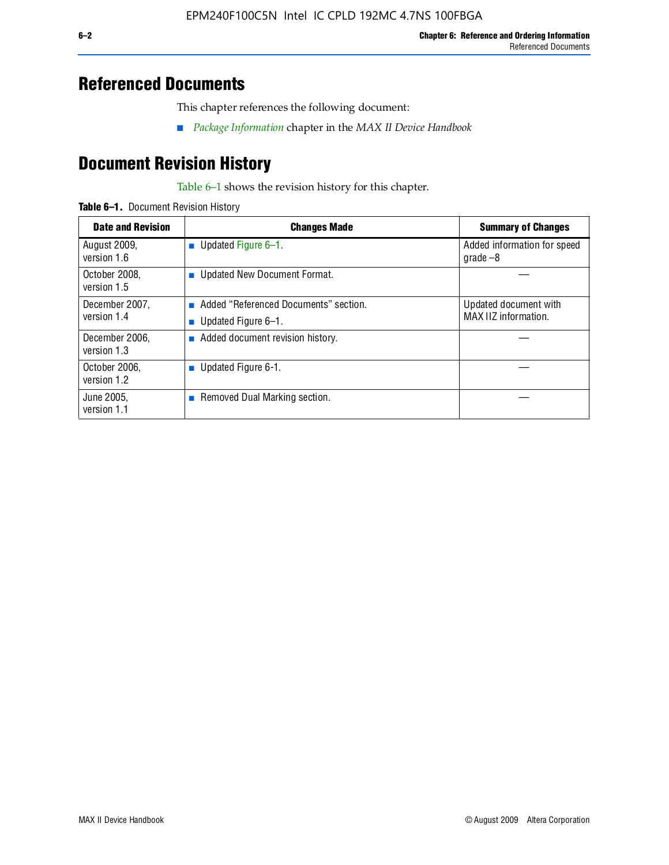### **Referenced Documents**

This chapter references the following document:

■ *[Package Information](http://www.altera.com/literature/hb/max2/max2_mii51007.pdf)* chapter in the *MAX II Device Handbook*

## **Document Revision History**

Table 6–1 shows the revision history for this chapter.

| Table 6-1. Document Revision History |
|--------------------------------------|
|                                      |

| <b>Date and Revision</b>      | <b>Changes Made</b>                                          | <b>Summary of Changes</b>                     |
|-------------------------------|--------------------------------------------------------------|-----------------------------------------------|
| August 2009,<br>version 1.6   | <b>Updated Figure 6-1.</b>                                   | Added information for speed<br>$q\,rad\,e-8$  |
| October 2008,<br>version 1.5  | ■ Updated New Document Format.                               |                                               |
| December 2007,<br>version 1.4 | Added "Referenced Documents" section.<br>Updated Figure 6-1. | Updated document with<br>MAX IIZ information. |
| December 2006,<br>version 1.3 | Added document revision history.                             |                                               |
| October 2006.<br>version 1.2  | <b>Updated Figure 6-1.</b>                                   |                                               |
| June 2005.<br>version 1.1     | Removed Dual Marking section.                                |                                               |